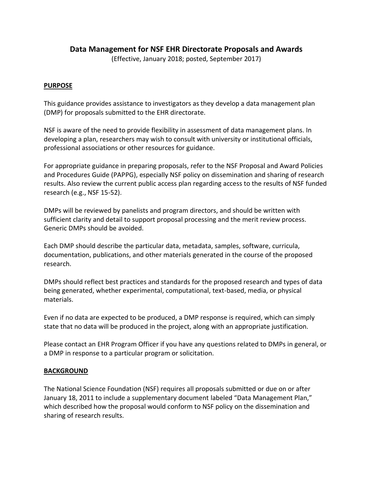# **Data Management for NSF EHR Directorate Proposals and Awards**

(Effective, January 2018; posted, September 2017)

#### **PURPOSE**

This guidance provides assistance to investigators as they develop a data management plan (DMP) for proposals submitted to the EHR directorate.

NSF is aware of the need to provide flexibility in assessment of data management plans. In developing a plan, researchers may wish to consult with university or institutional officials, professional associations or other resources for guidance.

For appropriate guidance in preparing proposals, refer to the NSF Proposal and Award Policies and Procedures Guide (PAPPG), especially NSF policy on dissemination and sharing of research results. Also review the current public access plan regarding access to the results of NSF funded research (e.g., NSF 15-52).

DMPs will be reviewed by panelists and program directors, and should be written with sufficient clarity and detail to support proposal processing and the merit review process. Generic DMPs should be avoided.

Each DMP should describe the particular data, metadata, samples, software, curricula, documentation, publications, and other materials generated in the course of the proposed research.

DMPs should reflect best practices and standards for the proposed research and types of data being generated, whether experimental, computational, text-based, media, or physical materials.

Even if no data are expected to be produced, a DMP response is required, which can simply state that no data will be produced in the project, along with an appropriate justification.

Please contact an EHR Program Officer if you have any questions related to DMPs in general, or a DMP in response to a particular program or solicitation.

#### **BACKGROUND**

The National Science Foundation (NSF) requires all proposals submitted or due on or after January 18, 2011 to include a supplementary document labeled "Data Management Plan," which described how the proposal would conform to NSF policy on the dissemination and sharing of research results.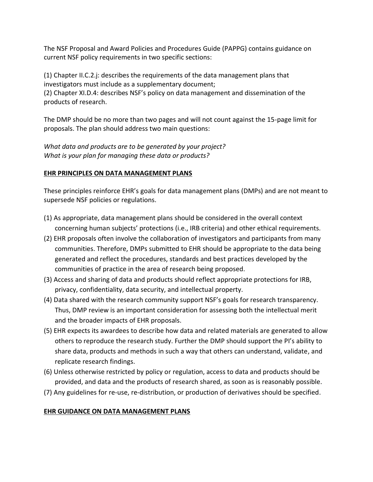The NSF Proposal and Award Policies and Procedures Guide (PAPPG) contains guidance on current NSF policy requirements in two specific sections:

(1) Chapter II.C.2.j: describes the requirements of the data management plans that investigators must include as a supplementary document;

(2) Chapter XI.D.4: describes NSF's policy on data management and dissemination of the products of research.

The DMP should be no more than two pages and will not count against the 15-page limit for proposals. The plan should address two main questions:

*What data and products are to be generated by your project? What is your plan for managing these data or products?* 

## **EHR PRINCIPLES ON DATA MANAGEMENT PLANS**

These principles reinforce EHR's goals for data management plans (DMPs) and are not meant to supersede NSF policies or regulations.

- (1) As appropriate, data management plans should be considered in the overall context concerning human subjects' protections (i.e., IRB criteria) and other ethical requirements.
- (2) EHR proposals often involve the collaboration of investigators and participants from many communities. Therefore, DMPs submitted to EHR should be appropriate to the data being generated and reflect the procedures, standards and best practices developed by the communities of practice in the area of research being proposed.
- (3) Access and sharing of data and products should reflect appropriate protections for IRB, privacy, confidentiality, data security, and intellectual property.
- (4) Data shared with the research community support NSF's goals for research transparency. Thus, DMP review is an important consideration for assessing both the intellectual merit and the broader impacts of EHR proposals.
- (5) EHR expects its awardees to describe how data and related materials are generated to allow others to reproduce the research study. Further the DMP should support the PI's ability to share data, products and methods in such a way that others can understand, validate, and replicate research findings.
- (6) Unless otherwise restricted by policy or regulation, access to data and products should be provided, and data and the products of research shared, as soon as is reasonably possible.
- (7) Any guidelines for re-use, re-distribution, or production of derivatives should be specified.

# **EHR GUIDANCE ON DATA MANAGEMENT PLANS**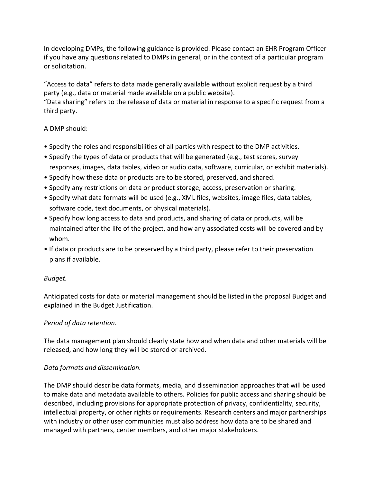In developing DMPs, the following guidance is provided. Please contact an EHR Program Officer if you have any questions related to DMPs in general, or in the context of a particular program or solicitation.

"Access to data" refers to data made generally available without explicit request by a third party (e.g., data or material made available on a public website).

"Data sharing" refers to the release of data or material in response to a specific request from a third party.

## A DMP should:

- Specify the roles and responsibilities of all parties with respect to the DMP activities.
- Specify the types of data or products that will be generated (e.g., test scores, survey responses, images, data tables, video or audio data, software, curricular, or exhibit materials).
- Specify how these data or products are to be stored, preserved, and shared.
- Specify any restrictions on data or product storage, access, preservation or sharing.
- Specify what data formats will be used (e.g., XML files, websites, image files, data tables, software code, text documents, or physical materials).
- Specify how long access to data and products, and sharing of data or products, will be maintained after the life of the project, and how any associated costs will be covered and by whom.
- If data or products are to be preserved by a third party, please refer to their preservation plans if available.

## *Budget.*

Anticipated costs for data or material management should be listed in the proposal Budget and explained in the Budget Justification.

## *Period of data retention.*

The data management plan should clearly state how and when data and other materials will be released, and how long they will be stored or archived.

## *Data formats and dissemination.*

The DMP should describe data formats, media, and dissemination approaches that will be used to make data and metadata available to others. Policies for public access and sharing should be described, including provisions for appropriate protection of privacy, confidentiality, security, intellectual property, or other rights or requirements. Research centers and major partnerships with industry or other user communities must also address how data are to be shared and managed with partners, center members, and other major stakeholders.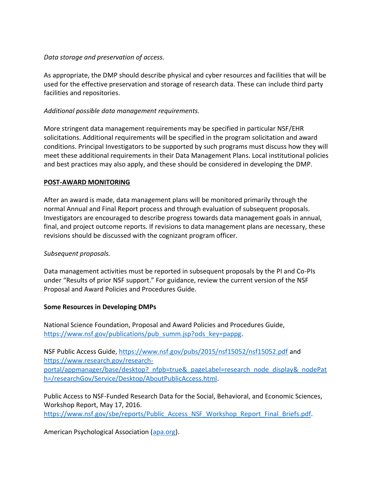## *Data storage and preservation of access.*

As appropriate, the DMP should describe physical and cyber resources and facilities that will be used for the effective preservation and storage of research data. These can include third party facilities and repositories.

# *Additional possible data management requirements.*

More stringent data management requirements may be specified in particular NSF/EHR solicitations. Additional requirements will be specified in the program solicitation and award conditions. Principal Investigators to be supported by such programs must discuss how they will meet these additional requirements in their Data Management Plans. Local institutional policies and best practices may also apply, and these should be considered in developing the DMP.

## **POST-AWARD MONITORING**

After an award is made, data management plans will be monitored primarily through the normal Annual and Final Report process and through evaluation of subsequent proposals. Investigators are encouraged to describe progress towards data management goals in annual, final, and project outcome reports. If revisions to data management plans are necessary, these revisions should be discussed with the cognizant program officer.

## *Subsequent proposals.*

Data management activities must be reported in subsequent proposals by the PI and Co-PIs under "Results of prior NSF support." For guidance, review the current version of the NSF Proposal and Award Policies and Procedures Guide.

## **Some Resources in Developing DMPs**

National Science Foundation, Proposal and Award Policies and Procedures Guide, [https://www.nsf.gov/publications/pub\\_summ.jsp?ods\\_key=pappg.](https://www.nsf.gov/publications/pub_summ.jsp?ods_key=pappg)

NSF Public Access Guide,<https://www.nsf.gov/pubs/2015/nsf15052/nsf15052.pdf> and [https://www.research.gov/research](https://www.research.gov/research-portal/appmanager/base/desktop?_nfpb=true&_pageLabel=research_node_display&_nodePath=/researchGov/Service/Desktop/AboutPublicAccess.html)[portal/appmanager/base/desktop?\\_nfpb=true&\\_pageLabel=research\\_node\\_display&\\_nodePat](https://www.research.gov/research-portal/appmanager/base/desktop?_nfpb=true&_pageLabel=research_node_display&_nodePath=/researchGov/Service/Desktop/AboutPublicAccess.html) [h=/researchGov/Service/Desktop/AboutPublicAccess.html.](https://www.research.gov/research-portal/appmanager/base/desktop?_nfpb=true&_pageLabel=research_node_display&_nodePath=/researchGov/Service/Desktop/AboutPublicAccess.html)

Public Access to NSF-Funded Research Data for the Social, Behavioral, and Economic Sciences, Workshop Report, May 17, 2016.

https://www.nsf.gov/sbe/reports/Public Access\_NSF\_Workshop\_Report\_Final\_Briefs.pdf.

American Psychological Association [\(apa.org\)](http://www.apa.org/).